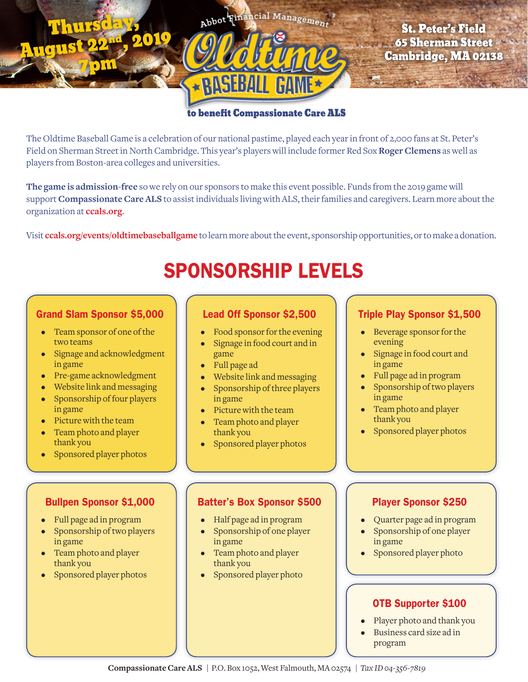

# St. Peter's Field 65 Sherman Street Cambridge, MA 02138

#### to benefit Compassionate Care ALS

The Oldtime Baseball Game is a celebration of our national pastime, played each year in front of 2,000 fans at St. Peter's Field on Sherman Street in North Cambridge. This year's players will include former Red Sox **Roger Clemens** as well as players from Boston-area colleges and universities.

RASEBA

**The game is admission-free** so we rely on our sponsors to make this event possible. Funds from the 2019 game will support **Compassionate Care ALS** to assist individuals living with ALS, their families and caregivers. Learn more about the organization at **ccals.org**.

Visit **ccals.org/events/oldtimebaseballgame** to learn more about the event, sponsorship opportunities, or to make a donation.

# SPONSORSHIP LEVELS

#### Grand Slam Sponsor \$5,000

Thurs

7pm

Augu

- Team sponsor of one of the two teams
- Signage and acknowledgment in game
- Pre-game acknowledgment
- Website link and messaging
- Sponsorship of four players in game
- Picture with the team
- Team photo and player thank you
- Sponsored player photos

#### Bullpen Sponsor \$1,000

- Full page ad in program
- Sponsorship of two players in game
- Team photo and player thank you
- Sponsored player photos

### Lead Off Sponsor \$2,500

- Food sponsor for the evening
- Signage in food court and in game
- Full page ad
- Website link and messaging
- Sponsorship of three players in game
- Picture with the team
- Team photo and player thank you
- Sponsored player photos

# Triple Play Sponsor \$1,500

- Beverage sponsor for the evening
- Signage in food court and in game
- Full page ad in program
- Sponsorship of two players in game
- Team photo and player thank you
- Sponsored player photos

# Batter's Box Sponsor \$500

- Half page ad in program
- Sponsorship of one player in game
- Team photo and player thank you
- Sponsored player photo

#### Player Sponsor \$250

- Quarter page ad in program
- Sponsorship of one player in game
- Sponsored player photo

# OTB Supporter \$100

- Player photo and thank you
- Business card size ad in program